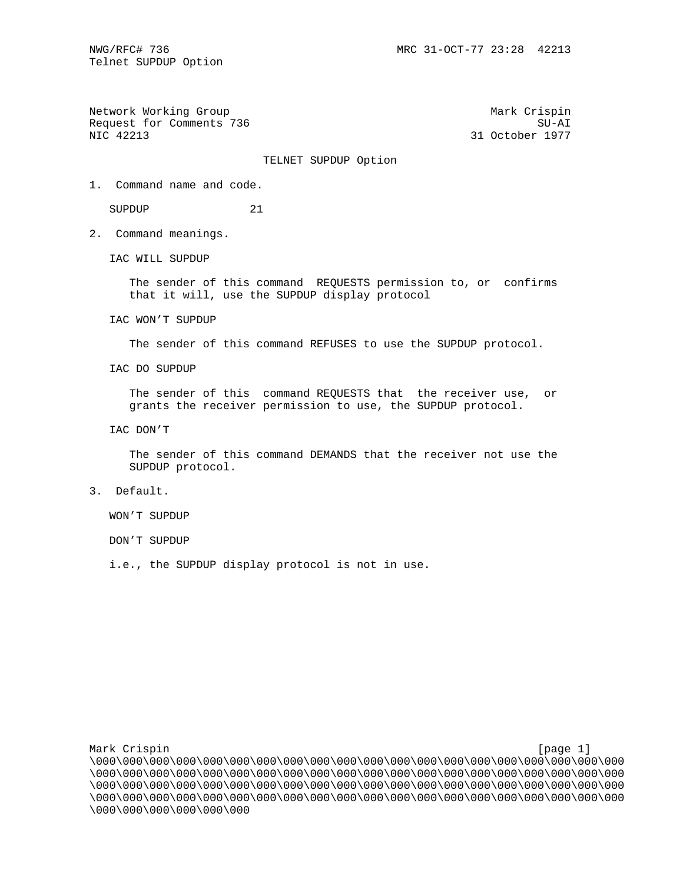Telnet SUPDUP Option

Network Working Group Mark Crispin Mark Crispin Request for Comments 736 SU-AI SU-AI SU-AI SU-AI SU-AI SU-AI SU-AI SU-AI SU-AI SU-AI SU-AI SU-AI SU-AI SU-AI SU

31 October 1977

## TELNET SUPDUP Option

1. Command name and code.

SUPDUP 21

2. Command meanings.

IAC WILL SUPDUP

 The sender of this command REQUESTS permission to, or confirms that it will, use the SUPDUP display protocol

IAC WON'T SUPDUP

The sender of this command REFUSES to use the SUPDUP protocol.

IAC DO SUPDUP

 The sender of this command REQUESTS that the receiver use, or grants the receiver permission to use, the SUPDUP protocol.

IAC DON'T

 The sender of this command DEMANDS that the receiver not use the SUPDUP protocol.

3. Default.

WON'T SUPDUP

DON'T SUPDUP

i.e., the SUPDUP display protocol is not in use.

Mark Crispin [page 1] [page 1] \000\000\000\000\000\000\000\000\000\000\000\000\000\000\000\000\000\000\000\000 \000\000\000\000\000\000\000\000\000\000\000\000\000\000\000\000\000\000\000\000 \000\000\000\000\000\000\000\000\000\000\000\000\000\000\000\000\000\000\000\000 \000\000\000\000\000\000\000\000\000\000\000\000\000\000\000\000\000\000\000\000 \000\000\000\000\000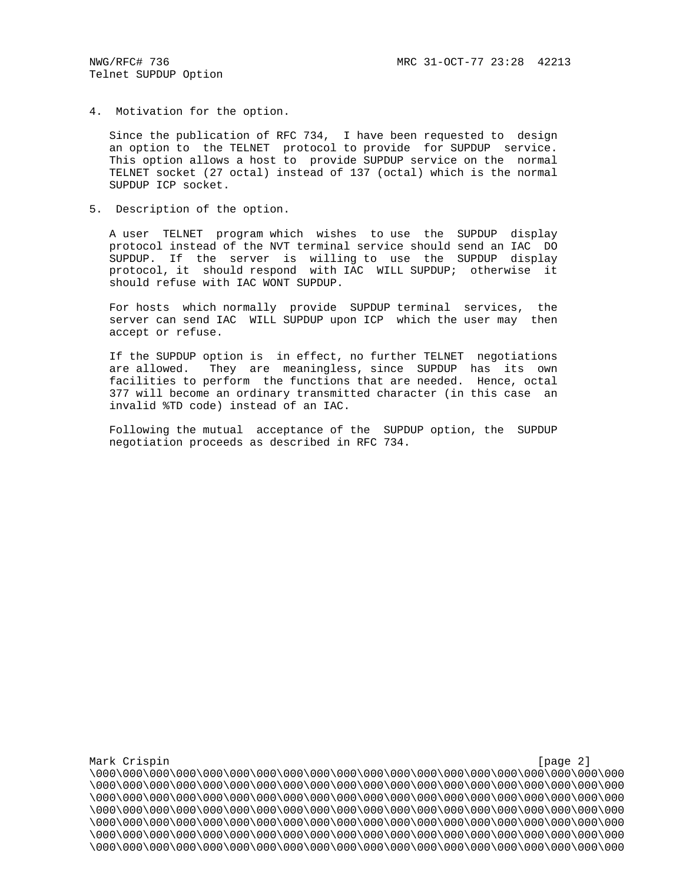4. Motivation for the option.

 Since the publication of RFC 734, I have been requested to design an option to the TELNET protocol to provide for SUPDUP service. This option allows a host to provide SUPDUP service on the normal TELNET socket (27 octal) instead of 137 (octal) which is the normal SUPDUP ICP socket.

5. Description of the option.

 A user TELNET program which wishes to use the SUPDUP display protocol instead of the NVT terminal service should send an IAC DO SUPDUP. If the server is willing to use the SUPDUP display protocol, it should respond with IAC WILL SUPDUP; otherwise it should refuse with IAC WONT SUPDUP.

 For hosts which normally provide SUPDUP terminal services, the server can send IAC WILL SUPDUP upon ICP which the user may then accept or refuse.

 If the SUPDUP option is in effect, no further TELNET negotiations are allowed. They are meaningless, since SUPDUP has its own facilities to perform the functions that are needed. Hence, octal 377 will become an ordinary transmitted character (in this case an invalid %TD code) instead of an IAC.

 Following the mutual acceptance of the SUPDUP option, the SUPDUP negotiation proceeds as described in RFC 734.

Mark Crispin [page 2] \000\000\000\000\000\000\000\000\000\000\000\000\000\000\000\000\000\000\000\000 \000\000\000\000\000\000\000\000\000\000\000\000\000\000\000\000\000\000\000\000 \000\000\000\000\000\000\000\000\000\000\000\000\000\000\000\000\000\000\000\000 \000\000\000\000\000\000\000\000\000\000\000\000\000\000\000\000\000\000\000\000 \000\000\000\000\000\000\000\000\000\000\000\000\000\000\000\000\000\000\000\000 \000\000\000\000\000\000\000\000\000\000\000\000\000\000\000\000\000\000\000\000 \000\000\000\000\000\000\000\000\000\000\000\000\000\000\000\000\000\000\000\000